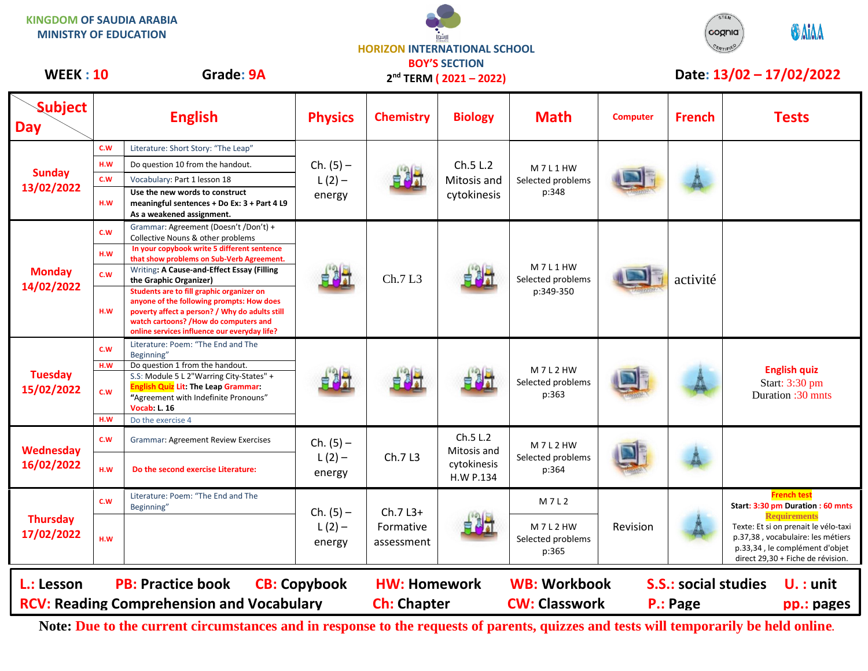| <b>MINISTRY OF EDUCATION</b>                                                                                                          |     |                                                                                                                                                                                                                                   |                                   | <b>HORIZON INTERNATIONAL SCHOOL</b>  | $\ddot{\cdot}$ ارافوا                                    |                                          |                 |                             | <b><i>UAIAA</i></b><br>cognia                                                                                                                                           |
|---------------------------------------------------------------------------------------------------------------------------------------|-----|-----------------------------------------------------------------------------------------------------------------------------------------------------------------------------------------------------------------------------------|-----------------------------------|--------------------------------------|----------------------------------------------------------|------------------------------------------|-----------------|-----------------------------|-------------------------------------------------------------------------------------------------------------------------------------------------------------------------|
| <b>WEEK: 10</b>                                                                                                                       |     | Grade: 9A                                                                                                                                                                                                                         |                                   |                                      | <b>BOY'S SECTION</b><br>2 <sup>nd</sup> TERM (2021-2022) |                                          |                 |                             | Date: 13/02 - 17/02/2022                                                                                                                                                |
| <b>Subject</b><br><b>Day</b>                                                                                                          |     | <b>English</b>                                                                                                                                                                                                                    | <b>Physics</b>                    | <b>Chemistry</b>                     | <b>Biology</b>                                           | <b>Math</b>                              | <b>Computer</b> | <b>French</b>               | <b>Tests</b>                                                                                                                                                            |
|                                                                                                                                       | C.W | Literature: Short Story: "The Leap"                                                                                                                                                                                               |                                   |                                      |                                                          |                                          |                 |                             |                                                                                                                                                                         |
|                                                                                                                                       | H.W | Do question 10 from the handout.                                                                                                                                                                                                  | $Ch. (5) -$                       |                                      | Ch.5 L.2<br>Mitosis and<br>cytokinesis                   | M7L1HW<br>Selected problems<br>p:348     |                 |                             |                                                                                                                                                                         |
|                                                                                                                                       | C.W | Vocabulary: Part 1 lesson 18                                                                                                                                                                                                      | $L(2) -$<br>energy                |                                      |                                                          |                                          |                 |                             |                                                                                                                                                                         |
|                                                                                                                                       | H.W | Use the new words to construct<br>meaningful sentences + Do Ex: 3 + Part 4 L9<br>As a weakened assignment.                                                                                                                        |                                   |                                      |                                                          |                                          |                 |                             |                                                                                                                                                                         |
| <b>Monday</b><br>14/02/2022                                                                                                           | c.w | Grammar: Agreement (Doesn't /Don't) +<br>Collective Nouns & other problems                                                                                                                                                        |                                   | Ch.7 L3                              | łā                                                       | M7L1HW<br>Selected problems<br>p:349-350 |                 | activité                    |                                                                                                                                                                         |
|                                                                                                                                       | H.W | In your copybook write 5 different sentence<br>that show problems on Sub-Verb Agreement.<br>Writing: A Cause-and-Effect Essay (Filling                                                                                            |                                   |                                      |                                                          |                                          |                 |                             |                                                                                                                                                                         |
|                                                                                                                                       | C.W | the Graphic Organizer)                                                                                                                                                                                                            |                                   |                                      |                                                          |                                          |                 |                             |                                                                                                                                                                         |
|                                                                                                                                       | H.W | Students are to fill graphic organizer on<br>anyone of the following prompts: How does<br>poverty affect a person? / Why do adults still<br>watch cartoons? /How do computers and<br>online services influence our everyday life? |                                   |                                      |                                                          |                                          |                 |                             |                                                                                                                                                                         |
| <b>Sunday</b><br>13/02/2022<br><b>Tuesday</b><br>15/02/2022<br>Wednesday<br>16/02/2022<br><b>Thursday</b><br>17/02/2022<br>L.: Lesson | C.W | Literature: Poem: "The End and The<br>Beginning"                                                                                                                                                                                  |                                   |                                      | łā                                                       | M7L2HW<br>Selected problems<br>p:363     |                 |                             |                                                                                                                                                                         |
|                                                                                                                                       | H.W | Do question 1 from the handout.                                                                                                                                                                                                   |                                   |                                      |                                                          |                                          |                 |                             | <b>English quiz</b>                                                                                                                                                     |
|                                                                                                                                       | c.w | S.S: Module 5 L 2"Warring City-States" +<br><b>English Quiz Lit: The Leap Grammar:</b><br>"Agreement with Indefinite Pronouns"                                                                                                    |                                   |                                      |                                                          |                                          |                 |                             | Start: 3:30 pm<br>Duration :30 mnts                                                                                                                                     |
|                                                                                                                                       | H.W | <b>Vocab: L. 16</b><br>Do the exercise 4                                                                                                                                                                                          |                                   |                                      |                                                          |                                          |                 |                             |                                                                                                                                                                         |
|                                                                                                                                       | C.W | <b>Grammar: Agreement Review Exercises</b>                                                                                                                                                                                        | $Ch. (5) -$<br>$L(2) -$<br>energy | Ch.7 L3                              | Ch.5 L.2<br>Mitosis and<br>cytokinesis<br>H.W P.134      | M7L2HW<br>Selected problems<br>p:364     |                 |                             |                                                                                                                                                                         |
|                                                                                                                                       | H.W | Do the second exercise Literature:                                                                                                                                                                                                |                                   |                                      |                                                          |                                          |                 |                             |                                                                                                                                                                         |
|                                                                                                                                       | C.W | Literature: Poem: "The End and The<br>Beginning"                                                                                                                                                                                  | $Ch. (5) -$<br>$L(2) -$<br>energy | $Ch.7L3+$<br>Formative<br>assessment | 自制式                                                      | M7L2                                     | Revision        |                             | <b>French test</b><br>Start: 3:30 pm Duration : 60 mnts                                                                                                                 |
|                                                                                                                                       | H.W |                                                                                                                                                                                                                                   |                                   |                                      |                                                          | M7L2HW<br>Selected problems<br>p:365     |                 |                             | <b>Requirements</b><br>Texte: Et si on prenait le vélo-taxi<br>p.37,38, vocabulaire: les métiers<br>p.33,34, le complément d'objet<br>direct 29,30 + Fiche de révision. |
|                                                                                                                                       |     | <b>PB: Practice book</b>                                                                                                                                                                                                          | <b>CB: Copybook</b>               | <b>HW: Homework</b>                  |                                                          | <b>WB: Workbook</b>                      |                 | <b>S.S.: social studies</b> | $U.$ : unit                                                                                                                                                             |

**ARAIAA** 

**KINGDOM OF SAUDIA ARABIA**

**Note: Due to the current circumstances and in response to the requests of parents, quizzes and tests will temporarily be held online.** 

**RCV: Reading Comprehension and Vocabulary and Ch: Chapter CW: Classwork P.: Page pp.: pages**